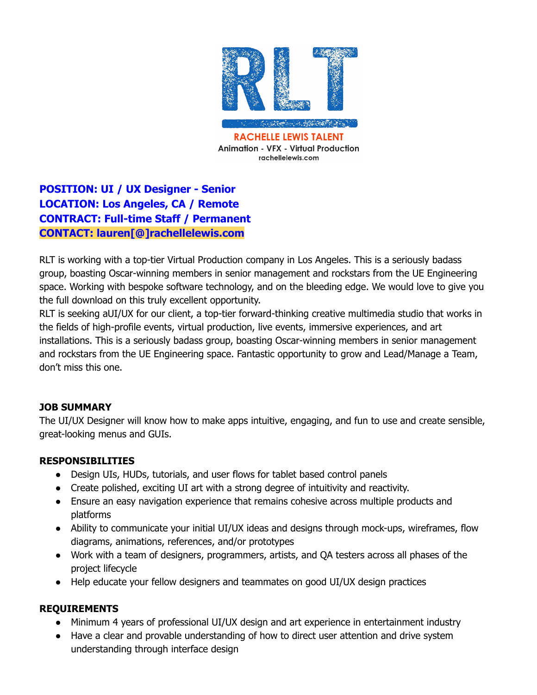

**RACHELLE LEWIS TALENT Animation - VFX - Virtual Production** rachellelewis.com

**POSITION: UI / UX Designer - Senior LOCATION: Los Angeles, CA / Remote CONTRACT: Full-time Staff / Permanent CONTACT: lauren[@]rachellelewis.com**

RLT is working with a top-tier Virtual Production company in Los Angeles. This is a seriously badass group, boasting Oscar-winning members in senior management and rockstars from the UE Engineering space. Working with bespoke software technology, and on the bleeding edge. We would love to give you the full download on this truly excellent opportunity.

RLT is seeking aUI/UX for our client, a top-tier forward-thinking creative multimedia studio that works in the fields of high-profile events, virtual production, live events, immersive experiences, and art installations. This is a seriously badass group, boasting Oscar-winning members in senior management and rockstars from the UE Engineering space. Fantastic opportunity to grow and Lead/Manage a Team, don't miss this one.

## **JOB SUMMARY**

The UI/UX Designer will know how to make apps intuitive, engaging, and fun to use and create sensible, great-looking menus and GUIs.

## **RESPONSIBILITIES**

- Design UIs, HUDs, tutorials, and user flows for tablet based control panels
- Create polished, exciting UI art with a strong degree of intuitivity and reactivity.
- Ensure an easy navigation experience that remains cohesive across multiple products and platforms
- Ability to communicate your initial UI/UX ideas and designs through mock-ups, wireframes, flow diagrams, animations, references, and/or prototypes
- Work with a team of designers, programmers, artists, and QA testers across all phases of the project lifecycle
- Help educate your fellow designers and teammates on good UI/UX design practices

## **REQUIREMENTS**

- Minimum 4 years of professional UI/UX design and art experience in entertainment industry
- Have a clear and provable understanding of how to direct user attention and drive system understanding through interface design